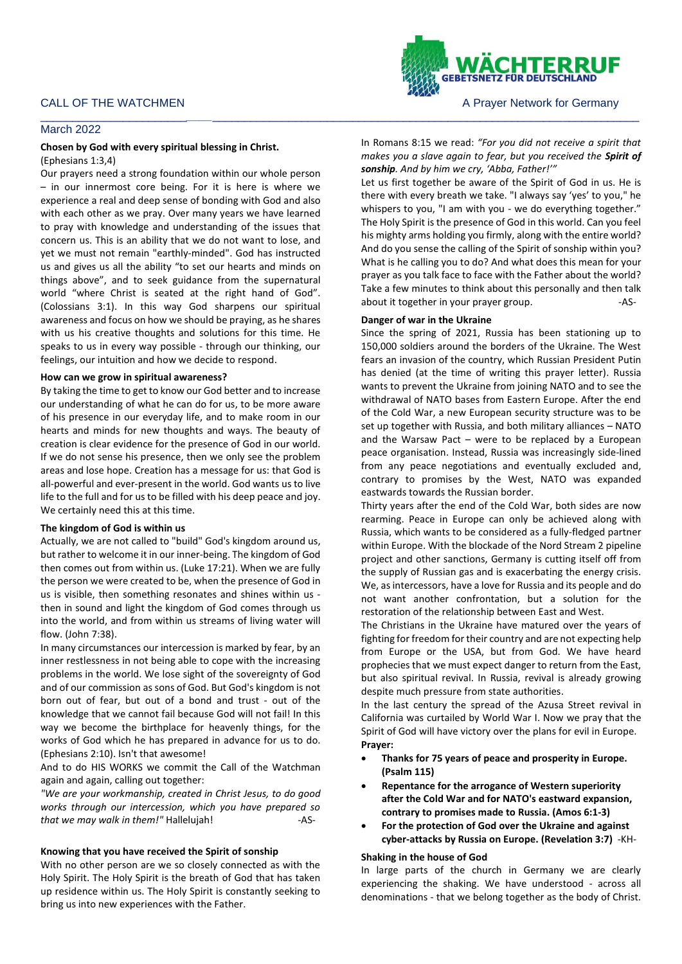

#### \_\_\_\_\_\_\_\_\_\_\_\_\_\_\_\_\_\_\_\_\_\_\_*\_\_\_\_*\_\_\_\_\_\_\_\_\_\_\_\_\_\_\_\_\_\_\_\_\_\_\_\_\_\_\_\_\_\_\_\_\_\_\_\_\_\_\_\_\_\_\_\_\_\_\_\_\_\_\_\_\_\_\_\_\_\_\_\_\_\_\_\_\_\_\_ March 2022

### **Chosen by God with every spiritual blessing in Christ.**

(Ephesians 1:3,4)

Our prayers need a strong foundation within our whole person – in our innermost core being. For it is here is where we experience a real and deep sense of bonding with God and also with each other as we pray. Over many years we have learned to pray with knowledge and understanding of the issues that concern us. This is an ability that we do not want to lose, and yet we must not remain "earthly-minded". God has instructed us and gives us all the ability "to set our hearts and minds on things above", and to seek guidance from the supernatural world "where Christ is seated at the right hand of God". (Colossians 3:1). In this way God sharpens our spiritual awareness and focus on how we should be praying, as he shares with us his creative thoughts and solutions for this time. He speaks to us in every way possible - through our thinking, our feelings, our intuition and how we decide to respond.

#### **How can we grow in spiritual awareness?**

By taking the time to get to know our God better and to increase our understanding of what he can do for us, to be more aware of his presence in our everyday life, and to make room in our hearts and minds for new thoughts and ways. The beauty of creation is clear evidence for the presence of God in our world. If we do not sense his presence, then we only see the problem areas and lose hope. Creation has a message for us: that God is all-powerful and ever-present in the world. God wants us to live life to the full and for us to be filled with his deep peace and joy. We certainly need this at this time.

## **The kingdom of God is within us**

Actually, we are not called to "build" God's kingdom around us, but rather to welcome it in our inner-being. The kingdom of God then comes out from within us. (Luke 17:21). When we are fully the person we were created to be, when the presence of God in us is visible, then something resonates and shines within us then in sound and light the kingdom of God comes through us into the world, and from within us streams of living water will flow. (John 7:38).

In many circumstances our intercession is marked by fear, by an inner restlessness in not being able to cope with the increasing problems in the world. We lose sight of the sovereignty of God and of our commission as sons of God. But God's kingdom is not born out of fear, but out of a bond and trust - out of the knowledge that we cannot fail because God will not fail! In this way we become the birthplace for heavenly things, for the works of God which he has prepared in advance for us to do. (Ephesians 2:10). Isn't that awesome!

And to do HIS WORKS we commit the Call of the Watchman again and again, calling out together:

*"We are your workmanship, created in Christ Jesus, to do good works through our intercession, which you have prepared so*  that we may walk in them!" Hallelujah! -AS-

### **Knowing that you have received the Spirit of sonship**

With no other person are we so closely connected as with the Holy Spirit. The Holy Spirit is the breath of God that has taken up residence within us. The Holy Spirit is constantly seeking to bring us into new experiences with the Father.

In Romans 8:15 we read: *"For you did not receive a spirit that makes you a slave again to fear, but you received the Spirit of sonship. And by him we cry, 'Abba, Father!'"*

Let us first together be aware of the Spirit of God in us. He is there with every breath we take. "I always say 'yes' to you," he whispers to you, "I am with you - we do everything together." The Holy Spirit is the presence of God in this world. Can you feel his mighty arms holding you firmly, along with the entire world? And do you sense the calling of the Spirit of sonship within you? What is he calling you to do? And what does this mean for your prayer as you talk face to face with the Father about the world? Take a few minutes to think about this personally and then talk about it together in your prayer group. The same states and the same states and the same states and the same s

## **Danger of war in the Ukraine**

Since the spring of 2021, Russia has been stationing up to 150,000 soldiers around the borders of the Ukraine. The West fears an invasion of the country, which Russian President Putin has denied (at the time of writing this prayer letter). Russia wants to prevent the Ukraine from joining NATO and to see the withdrawal of NATO bases from Eastern Europe. After the end of the Cold War, a new European security structure was to be set up together with Russia, and both military alliances – NATO and the Warsaw Pact  $-$  were to be replaced by a European peace organisation. Instead, Russia was increasingly side-lined from any peace negotiations and eventually excluded and, contrary to promises by the West, NATO was expanded eastwards towards the Russian border.

Thirty years after the end of the Cold War, both sides are now rearming. Peace in Europe can only be achieved along with Russia, which wants to be considered as a fully-fledged partner within Europe. With the blockade of the Nord Stream 2 pipeline project and other sanctions, Germany is cutting itself off from the supply of Russian gas and is exacerbating the energy crisis. We, as intercessors, have a love for Russia and its people and do not want another confrontation, but a solution for the restoration of the relationship between East and West.

The Christians in the Ukraine have matured over the years of fighting for freedom for their country and are not expecting help from Europe or the USA, but from God. We have heard prophecies that we must expect danger to return from the East, but also spiritual revival. In Russia, revival is already growing despite much pressure from state authorities.

In the last century the spread of the Azusa Street revival in California was curtailed by World War I. Now we pray that the Spirit of God will have victory over the plans for evil in Europe. **Prayer:** 

- **Thanks for 75 years of peace and prosperity in Europe. (Psalm 115)**
- **Repentance for the arrogance of Western superiority after the Cold War and for NATO's eastward expansion, contrary to promises made to Russia. (Amos 6:1-3)**
- **For the protection of God over the Ukraine and against cyber-attacks by Russia on Europe. (Revelation 3:7)** -KH-

## **Shaking in the house of God**

In large parts of the church in Germany we are clearly experiencing the shaking. We have understood - across all denominations - that we belong together as the body of Christ.